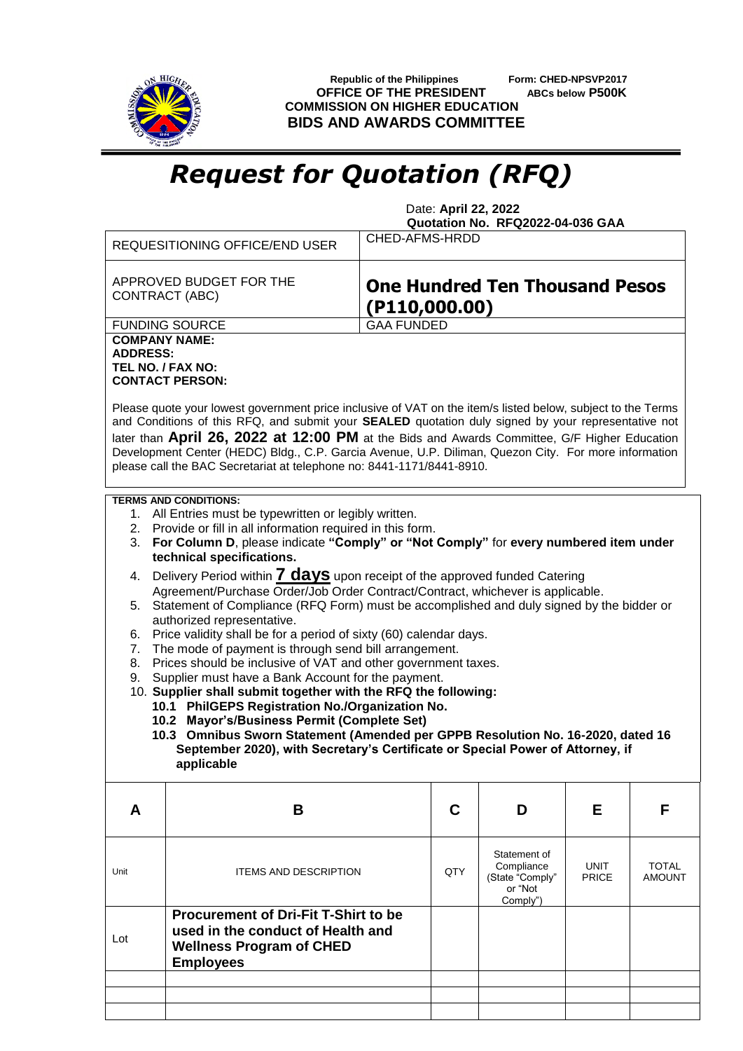

 **Republic of the Philippines Form: CHED-NPSVP2017 OFFICE OF THE PRESIDENT ABCs below P500K COMMISSION ON HIGHER EDUCATION BIDS AND AWARDS COMMITTEE**

## *Request for Quotation (RFQ)*

 Date: **April 22, 2022 Quotation No. RFQ2022-04-036 GAA**

| REQUESITIONING OFFICE/END USER                                                                                                                                                                                                                                                                                                                                                                                                                                                                                                                                                                                                                                                                                                                                                                                                                                                                                                                                                                                                                                                                                                                                                                                               | CHED-AFMS-HRDD                                         |                                                                      |                             |                               |  |  |
|------------------------------------------------------------------------------------------------------------------------------------------------------------------------------------------------------------------------------------------------------------------------------------------------------------------------------------------------------------------------------------------------------------------------------------------------------------------------------------------------------------------------------------------------------------------------------------------------------------------------------------------------------------------------------------------------------------------------------------------------------------------------------------------------------------------------------------------------------------------------------------------------------------------------------------------------------------------------------------------------------------------------------------------------------------------------------------------------------------------------------------------------------------------------------------------------------------------------------|--------------------------------------------------------|----------------------------------------------------------------------|-----------------------------|-------------------------------|--|--|
| APPROVED BUDGET FOR THE<br><b>CONTRACT (ABC)</b>                                                                                                                                                                                                                                                                                                                                                                                                                                                                                                                                                                                                                                                                                                                                                                                                                                                                                                                                                                                                                                                                                                                                                                             | <b>One Hundred Ten Thousand Pesos</b><br>(P110,000.00) |                                                                      |                             |                               |  |  |
| <b>FUNDING SOURCE</b><br><b>COMPANY NAME:</b><br><b>ADDRESS:</b><br>TEL NO. / FAX NO:<br><b>CONTACT PERSON:</b>                                                                                                                                                                                                                                                                                                                                                                                                                                                                                                                                                                                                                                                                                                                                                                                                                                                                                                                                                                                                                                                                                                              | <b>GAA FUNDED</b>                                      |                                                                      |                             |                               |  |  |
| Please quote your lowest government price inclusive of VAT on the item/s listed below, subject to the Terms<br>and Conditions of this RFQ, and submit your SEALED quotation duly signed by your representative not<br>later than April 26, 2022 at 12:00 PM at the Bids and Awards Committee, G/F Higher Education<br>Development Center (HEDC) Bldg., C.P. Garcia Avenue, U.P. Diliman, Quezon City. For more information<br>please call the BAC Secretariat at telephone no: 8441-1171/8441-8910.                                                                                                                                                                                                                                                                                                                                                                                                                                                                                                                                                                                                                                                                                                                          |                                                        |                                                                      |                             |                               |  |  |
| <b>TERMS AND CONDITIONS:</b><br>1. All Entries must be typewritten or legibly written.<br>2. Provide or fill in all information required in this form.<br>3. For Column D, please indicate "Comply" or "Not Comply" for every numbered item under<br>technical specifications.<br>4. Delivery Period within <b>7 days</b> upon receipt of the approved funded Catering<br>Agreement/Purchase Order/Job Order Contract/Contract, whichever is applicable.<br>Statement of Compliance (RFQ Form) must be accomplished and duly signed by the bidder or<br>5.<br>authorized representative.<br>Price validity shall be for a period of sixty (60) calendar days.<br>6.<br>The mode of payment is through send bill arrangement.<br>7.<br>Prices should be inclusive of VAT and other government taxes.<br>8.<br>Supplier must have a Bank Account for the payment.<br>9.<br>10. Supplier shall submit together with the RFQ the following:<br>10.1 PhilGEPS Registration No./Organization No.<br>10.2 Mayor's/Business Permit (Complete Set)<br>10.3 Omnibus Sworn Statement (Amended per GPPB Resolution No. 16-2020, dated 16<br>September 2020), with Secretary's Certificate or Special Power of Attorney, if<br>applicable |                                                        |                                                                      |                             |                               |  |  |
| B<br>A                                                                                                                                                                                                                                                                                                                                                                                                                                                                                                                                                                                                                                                                                                                                                                                                                                                                                                                                                                                                                                                                                                                                                                                                                       | C                                                      | D                                                                    | Е                           | F                             |  |  |
| <b>ITEMS AND DESCRIPTION</b><br>Unit                                                                                                                                                                                                                                                                                                                                                                                                                                                                                                                                                                                                                                                                                                                                                                                                                                                                                                                                                                                                                                                                                                                                                                                         | QTY                                                    | Statement of<br>Compliance<br>(State "Comply"<br>or "Not<br>Comply") | <b>UNIT</b><br><b>PRICE</b> | <b>TOTAL</b><br><b>AMOUNT</b> |  |  |
| <b>Procurement of Dri-Fit T-Shirt to be</b><br>used in the conduct of Health and<br>Lot<br><b>Wellness Program of CHED</b><br><b>Employees</b>                                                                                                                                                                                                                                                                                                                                                                                                                                                                                                                                                                                                                                                                                                                                                                                                                                                                                                                                                                                                                                                                               |                                                        |                                                                      |                             |                               |  |  |
|                                                                                                                                                                                                                                                                                                                                                                                                                                                                                                                                                                                                                                                                                                                                                                                                                                                                                                                                                                                                                                                                                                                                                                                                                              |                                                        |                                                                      |                             |                               |  |  |
|                                                                                                                                                                                                                                                                                                                                                                                                                                                                                                                                                                                                                                                                                                                                                                                                                                                                                                                                                                                                                                                                                                                                                                                                                              |                                                        |                                                                      |                             |                               |  |  |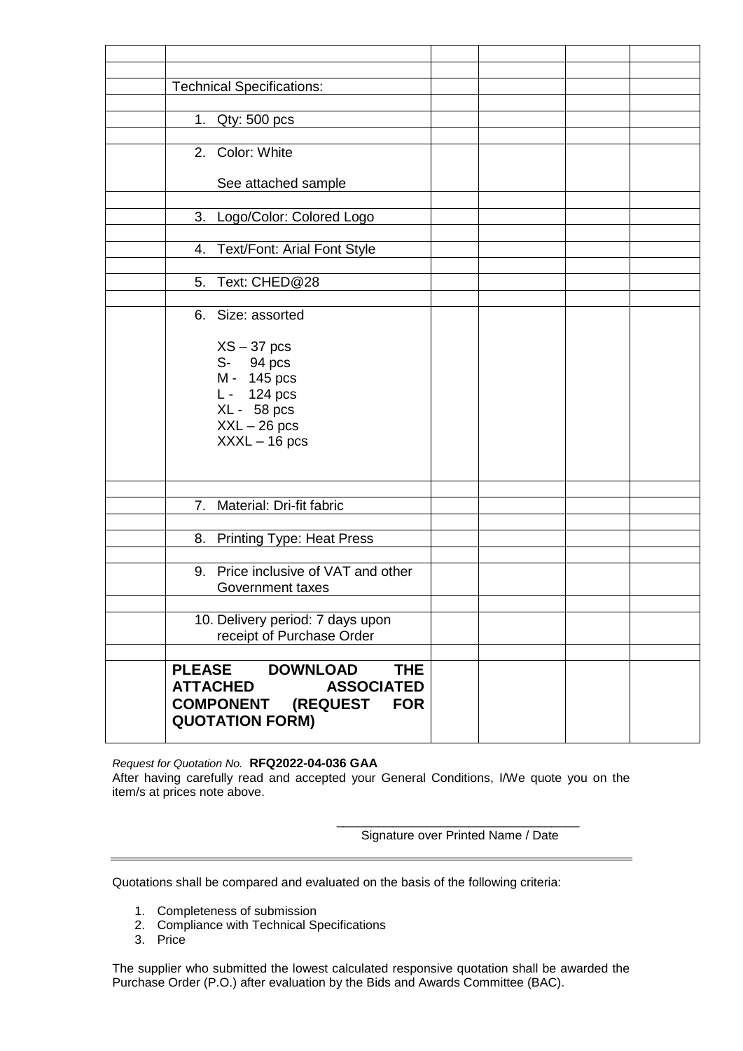| <b>Technical Specifications:</b>               |  |  |
|------------------------------------------------|--|--|
|                                                |  |  |
| 1.<br>$Qty: 500$ pcs                           |  |  |
|                                                |  |  |
| 2. Color: White                                |  |  |
|                                                |  |  |
| See attached sample                            |  |  |
|                                                |  |  |
| 3. Logo/Color: Colored Logo                    |  |  |
|                                                |  |  |
|                                                |  |  |
| 4. Text/Font: Arial Font Style                 |  |  |
|                                                |  |  |
| 5. Text: CHED@28                               |  |  |
|                                                |  |  |
| 6. Size: assorted                              |  |  |
|                                                |  |  |
| $XS - 37$ pcs                                  |  |  |
| S- 94 pcs                                      |  |  |
| M - 145 pcs                                    |  |  |
| L - 124 pcs                                    |  |  |
| XL - 58 pcs                                    |  |  |
| $XXL - 26$ pcs                                 |  |  |
| $XXXL - 16$ pcs                                |  |  |
|                                                |  |  |
|                                                |  |  |
|                                                |  |  |
| Material: Dri-fit fabric<br>7.                 |  |  |
|                                                |  |  |
| 8. Printing Type: Heat Press                   |  |  |
|                                                |  |  |
| 9. Price inclusive of VAT and other            |  |  |
| <b>Government taxes</b>                        |  |  |
|                                                |  |  |
| 10. Delivery period: 7 days upon               |  |  |
| receipt of Purchase Order                      |  |  |
|                                                |  |  |
| <b>DOWNLOAD</b><br><b>THE</b><br><b>PLEASE</b> |  |  |
|                                                |  |  |
| <b>ATTACHED</b><br><b>ASSOCIATED</b>           |  |  |
| <b>COMPONENT</b><br>(REQUEST<br><b>FOR</b>     |  |  |
| <b>QUOTATION FORM)</b>                         |  |  |
|                                                |  |  |

*Request for Quotation No.* **RFQ2022-04-036 GAA**

After having carefully read and accepted your General Conditions, I/We quote you on the item/s at prices note above.

> \_\_\_\_\_\_\_\_\_\_\_\_\_\_\_\_\_\_\_\_\_\_\_\_\_\_\_\_\_\_\_\_\_\_\_ Signature over Printed Name / Date

Quotations shall be compared and evaluated on the basis of the following criteria:

- 1. Completeness of submission
- 2. Compliance with Technical Specifications
- 3. Price

The supplier who submitted the lowest calculated responsive quotation shall be awarded the Purchase Order (P.O.) after evaluation by the Bids and Awards Committee (BAC).